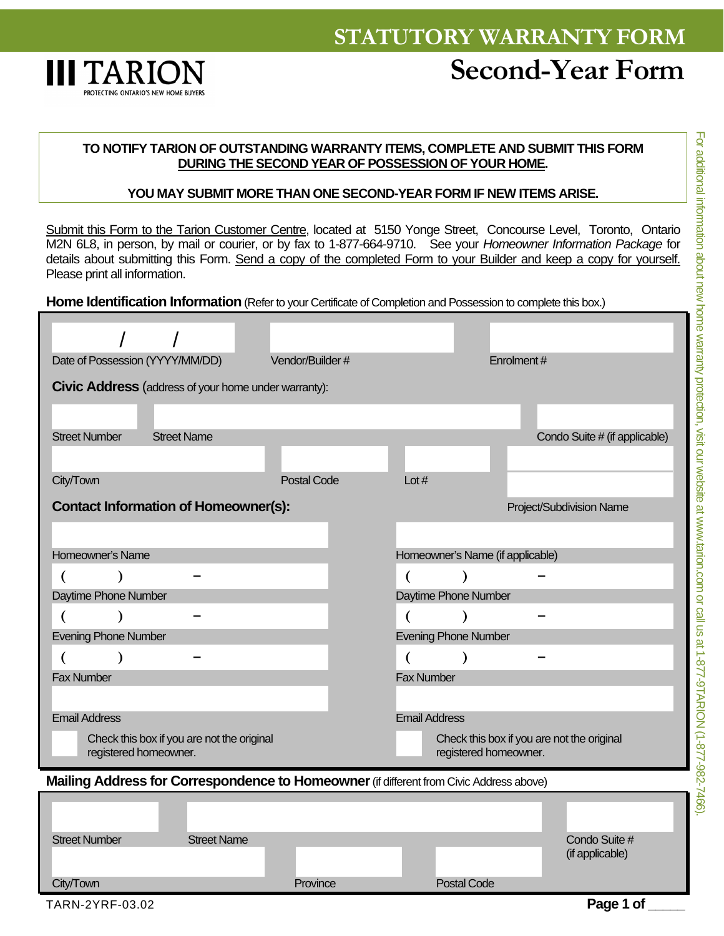

## **TO NOTIFY TARION OF OUTSTANDING WARRANTY ITEMS, COMPLETE AND SUBMIT THIS FORM DURING THE SECOND YEAR OF POSSESSION OF YOUR HOME.**

## **YOU MAY SUBMIT MORE THAN ONE SECOND-YEAR FORM IF NEW ITEMS ARISE.**

Submit this Form to the Tarion Customer Centre, located at 5150 Yonge Street, Concourse Level, Toronto, Ontario M2N 6L8, in person, by mail or courier, or by fax to 1-877-664-9710. See your *Homeowner Information Package* for details about submitting this Form. Send a copy of the completed Form to your Builder and keep a copy for yourself. Please print all information.

**Home Identification Information** (Refer to your Certificate of Completion and Possession to complete this box.)

| Date of Possession (YYYY/MM/DD)                                                         |                    | Vendor/Builder #   |                                                                     |                    | Enrolment# |                                  |
|-----------------------------------------------------------------------------------------|--------------------|--------------------|---------------------------------------------------------------------|--------------------|------------|----------------------------------|
| <b>Civic Address</b> (address of your home under warranty):                             |                    |                    |                                                                     |                    |            |                                  |
|                                                                                         |                    |                    |                                                                     |                    |            |                                  |
| <b>Street Number</b><br><b>Street Name</b>                                              |                    |                    |                                                                     |                    |            | Condo Suite # (if applicable)    |
|                                                                                         |                    |                    |                                                                     |                    |            |                                  |
| City/Town                                                                               |                    | <b>Postal Code</b> | Lot $#$                                                             |                    |            |                                  |
| <b>Contact Information of Homeowner(s):</b>                                             |                    |                    |                                                                     |                    |            | Project/Subdivision Name         |
|                                                                                         |                    |                    |                                                                     |                    |            |                                  |
| Homeowner's Name                                                                        |                    |                    | Homeowner's Name (if applicable)                                    |                    |            |                                  |
| €                                                                                       |                    |                    |                                                                     |                    |            |                                  |
| Daytime Phone Number                                                                    |                    |                    | Daytime Phone Number                                                |                    |            |                                  |
| €                                                                                       |                    |                    |                                                                     |                    |            |                                  |
| <b>Evening Phone Number</b>                                                             |                    |                    | <b>Evening Phone Number</b>                                         |                    |            |                                  |
| $\lambda$                                                                               |                    |                    | €                                                                   | $\lambda$          |            |                                  |
| <b>Fax Number</b>                                                                       |                    |                    | <b>Fax Number</b>                                                   |                    |            |                                  |
|                                                                                         |                    |                    |                                                                     |                    |            |                                  |
| <b>Email Address</b>                                                                    |                    |                    | <b>Email Address</b>                                                |                    |            |                                  |
| Check this box if you are not the original<br>registered homeowner.                     |                    |                    | Check this box if you are not the original<br>registered homeowner. |                    |            |                                  |
| Mailing Address for Correspondence to Homeowner (if different from Civic Address above) |                    |                    |                                                                     |                    |            |                                  |
|                                                                                         |                    |                    |                                                                     |                    |            |                                  |
|                                                                                         |                    |                    |                                                                     |                    |            |                                  |
| <b>Street Number</b>                                                                    | <b>Street Name</b> |                    |                                                                     |                    |            | Condo Suite #<br>(if applicable) |
| City/Town                                                                               |                    | Province           |                                                                     | <b>Postal Code</b> |            |                                  |